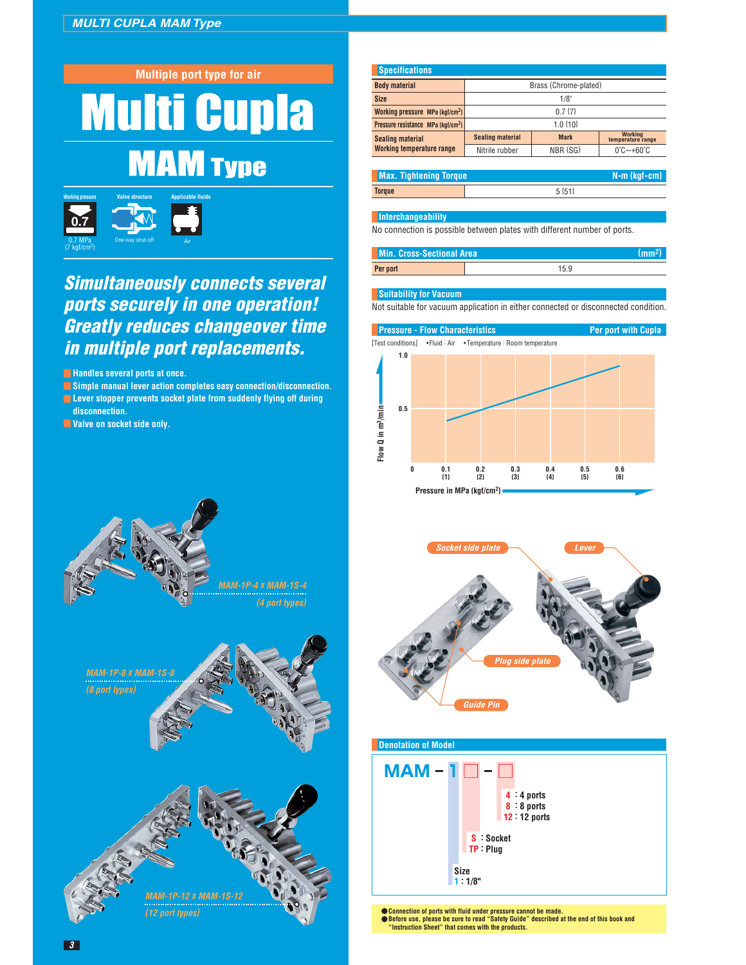



## **Simultaneously connects several ports securely in one operation! Greatly reduces changeover time in multiple port replacements.**

**Handles several ports at once.** 

- **Simple manual lever action completes easy connection/disconnection.**
- **E** Lever stopper prevents socket plate from suddenly flying off during  **disconnection.**
- **Valve on socket side only.**



| <b>Max. Tightening Torque</b> |          | $N \cdot m$ {kgf $\cdot$ cm} |
|-------------------------------|----------|------------------------------|
| Torque                        | $5 {51}$ |                              |

## **Interchangeability**

No connection is possible between plates with different number of ports.

| <b>Min. Cross-Sectional Area</b> |     |
|----------------------------------|-----|
| Per port                         | 159 |

## **Suitability for Vacuum**

Not suitable for vacuum application in either connected or disconnected condition.





**(12 port types)**





**Connection of ports with fluid under pressure cannot be made. Before use, please be sure to read "Safety Guide" described at the end of this book and "Instruction Sheet" that comes with the products.**